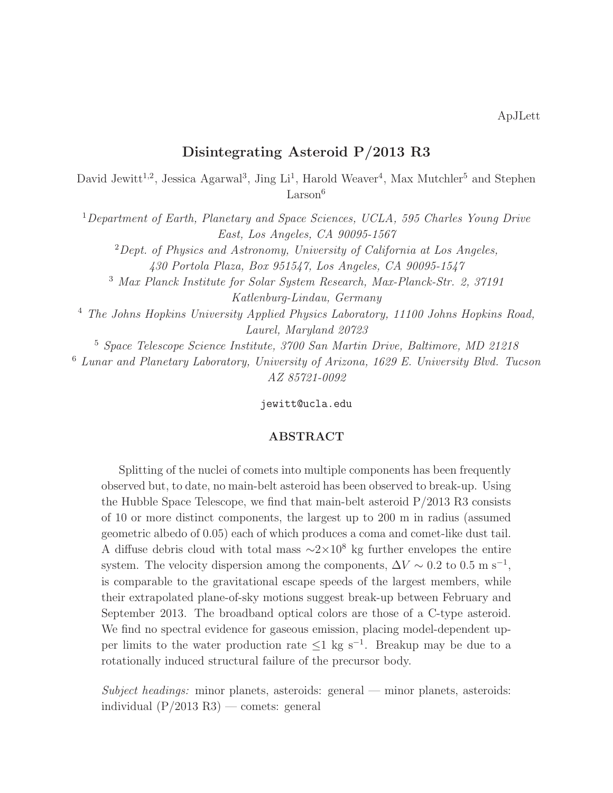# Disintegrating Asteroid P/2013 R3

David Jewitt<sup>1,2</sup>, Jessica Agarwal<sup>3</sup>, Jing Li<sup>1</sup>, Harold Weaver<sup>4</sup>, Max Mutchler<sup>5</sup> and Stephen  $Larson<sup>6</sup>$ 

<sup>1</sup>Department of Earth, Planetary and Space Sciences, UCLA, 595 Charles Young Drive East, Los Angeles, CA 90095-1567

 ${}^{2}$ Dept. of Physics and Astronomy, University of California at Los Angeles,

430 Portola Plaza, Box 951547, Los Angeles, CA 90095-1547

<sup>3</sup> Max Planck Institute for Solar System Research, Max-Planck-Str. 2, 37191 Katlenburg-Lindau, Germany

<sup>4</sup> The Johns Hopkins University Applied Physics Laboratory, 11100 Johns Hopkins Road, Laurel, Maryland 20723

<sup>5</sup> Space Telescope Science Institute, 3700 San Martin Drive, Baltimore, MD 21218

<sup>6</sup> Lunar and Planetary Laboratory, University of Arizona, 1629 E. University Blvd. Tucson AZ 85721-0092

jewitt@ucla.edu

# ABSTRACT

Splitting of the nuclei of comets into multiple components has been frequently observed but, to date, no main-belt asteroid has been observed to break-up. Using the Hubble Space Telescope, we find that main-belt asteroid P/2013 R3 consists of 10 or more distinct components, the largest up to 200 m in radius (assumed geometric albedo of 0.05) each of which produces a coma and comet-like dust tail. A diffuse debris cloud with total mass  $\sim$ 2×10<sup>8</sup> kg further envelopes the entire system. The velocity dispersion among the components,  $\Delta V \sim 0.2$  to  $0.5 \text{ m s}^{-1}$ , is comparable to the gravitational escape speeds of the largest members, while their extrapolated plane-of-sky motions suggest break-up between February and September 2013. The broadband optical colors are those of a C-type asteroid. We find no spectral evidence for gaseous emission, placing model-dependent upper limits to the water production rate  $\leq 1$  kg s<sup>-1</sup>. Breakup may be due to a rotationally induced structural failure of the precursor body.

Subject headings: minor planets, asteroids: general — minor planets, asteroids: individual  $(P/2013 R3)$  — comets: general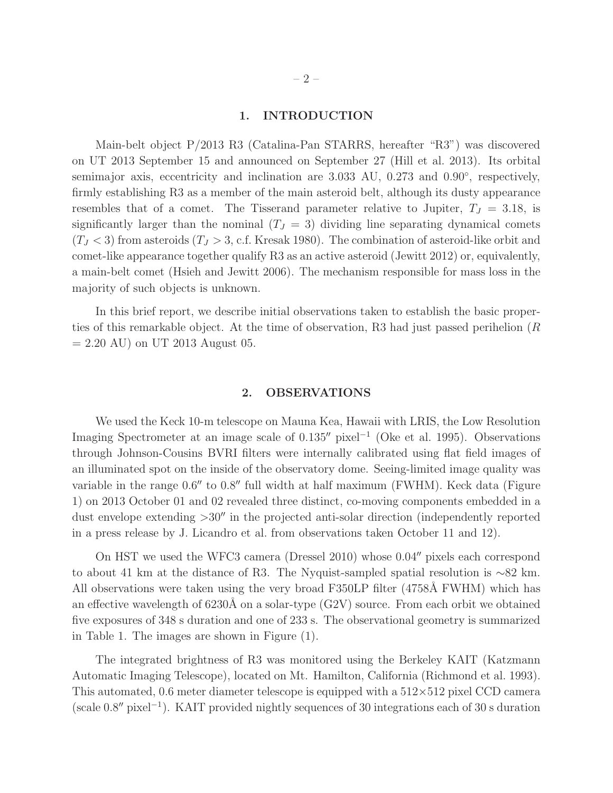#### 1. INTRODUCTION

Main-belt object P/2013 R3 (Catalina-Pan STARRS, hereafter "R3") was discovered on UT 2013 September 15 and announced on September 27 (Hill et al. 2013). Its orbital semimajor axis, eccentricity and inclination are 3.033 AU, 0.273 and 0.90<sup>°</sup>, respectively, firmly establishing R3 as a member of the main asteroid belt, although its dusty appearance resembles that of a comet. The Tisserand parameter relative to Jupiter,  $T_J = 3.18$ , is significantly larger than the nominal  $(T_J = 3)$  dividing line separating dynamical comets  $(T_J < 3)$  from asteroids  $(T_J > 3, c.f.$  Kresak 1980). The combination of asteroid-like orbit and comet-like appearance together qualify R3 as an active asteroid (Jewitt 2012) or, equivalently, a main-belt comet (Hsieh and Jewitt 2006). The mechanism responsible for mass loss in the majority of such objects is unknown.

In this brief report, we describe initial observations taken to establish the basic properties of this remarkable object. At the time of observation, R3 had just passed perihelion (R  $= 2.20$  AU) on UT 2013 August 05.

#### 2. OBSERVATIONS

We used the Keck 10-m telescope on Mauna Kea, Hawaii with LRIS, the Low Resolution Imaging Spectrometer at an image scale of 0.135′′ pixel<sup>−</sup><sup>1</sup> (Oke et al. 1995). Observations through Johnson-Cousins BVRI filters were internally calibrated using flat field images of an illuminated spot on the inside of the observatory dome. Seeing-limited image quality was variable in the range 0.6′′ to 0.8′′ full width at half maximum (FWHM). Keck data (Figure 1) on 2013 October 01 and 02 revealed three distinct, co-moving components embedded in a dust envelope extending >30′′ in the projected anti-solar direction (independently reported in a press release by J. Licandro et al. from observations taken October 11 and 12).

On HST we used the WFC3 camera (Dressel 2010) whose 0.04′′ pixels each correspond to about 41 km at the distance of R3. The Nyquist-sampled spatial resolution is ∼82 km. All observations were taken using the very broad F350LP filter (4758Å FWHM) which has an effective wavelength of 6230Å on a solar-type  $(G2V)$  source. From each orbit we obtained five exposures of 348 s duration and one of 233 s. The observational geometry is summarized in Table 1. The images are shown in Figure (1).

The integrated brightness of R3 was monitored using the Berkeley KAIT (Katzmann Automatic Imaging Telescope), located on Mt. Hamilton, California (Richmond et al. 1993). This automated, 0.6 meter diameter telescope is equipped with a  $512\times512$  pixel CCD camera (scale 0.8′′ pixel<sup>−</sup><sup>1</sup> ). KAIT provided nightly sequences of 30 integrations each of 30 s duration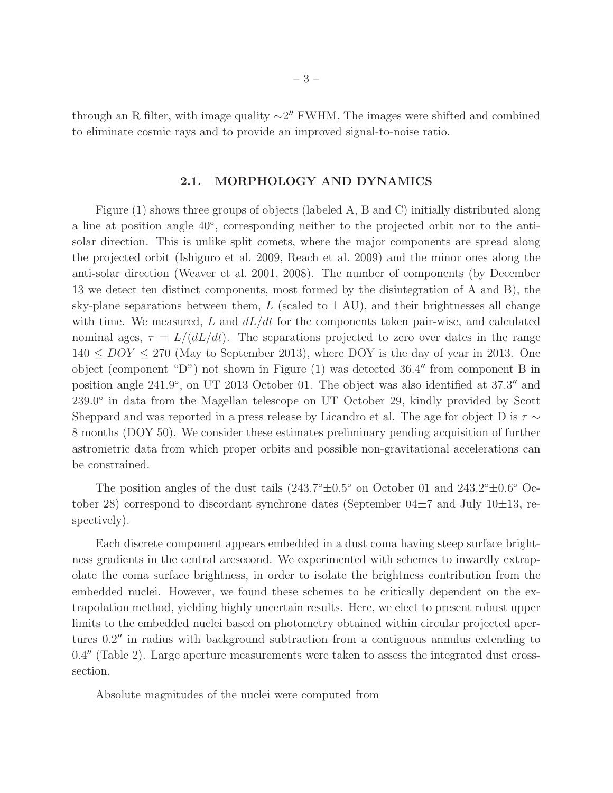through an R filter, with image quality  $\sim$ 2" FWHM. The images were shifted and combined to eliminate cosmic rays and to provide an improved signal-to-noise ratio.

# 2.1. MORPHOLOGY AND DYNAMICS

Figure (1) shows three groups of objects (labeled A, B and C) initially distributed along a line at position angle 40◦ , corresponding neither to the projected orbit nor to the antisolar direction. This is unlike split comets, where the major components are spread along the projected orbit (Ishiguro et al. 2009, Reach et al. 2009) and the minor ones along the anti-solar direction (Weaver et al. 2001, 2008). The number of components (by December 13 we detect ten distinct components, most formed by the disintegration of A and B), the sky-plane separations between them,  $L$  (scaled to 1 AU), and their brightnesses all change with time. We measured, L and  $dL/dt$  for the components taken pair-wise, and calculated nominal ages,  $\tau = L/(dL/dt)$ . The separations projected to zero over dates in the range  $140 \leq DOY \leq 270$  (May to September 2013), where DOY is the day of year in 2013. One object (component "D") not shown in Figure (1) was detected 36.4′′ from component B in position angle 241.9°, on UT 2013 October 01. The object was also identified at 37.3″ and 239.0° in data from the Magellan telescope on UT October 29, kindly provided by Scott Sheppard and was reported in a press release by Licandro et al. The age for object D is  $\tau \sim$ 8 months (DOY 50). We consider these estimates preliminary pending acquisition of further astrometric data from which proper orbits and possible non-gravitational accelerations can be constrained.

The position angles of the dust tails  $(243.7°\pm0.5°)$  on October 01 and  $243.2°\pm0.6°$  October 28) correspond to discordant synchrone dates (September  $04\pm7$  and July  $10\pm13$ , respectively).

Each discrete component appears embedded in a dust coma having steep surface brightness gradients in the central arcsecond. We experimented with schemes to inwardly extrapolate the coma surface brightness, in order to isolate the brightness contribution from the embedded nuclei. However, we found these schemes to be critically dependent on the extrapolation method, yielding highly uncertain results. Here, we elect to present robust upper limits to the embedded nuclei based on photometry obtained within circular projected apertures 0.2′′ in radius with background subtraction from a contiguous annulus extending to 0.4′′ (Table 2). Large aperture measurements were taken to assess the integrated dust crosssection.

Absolute magnitudes of the nuclei were computed from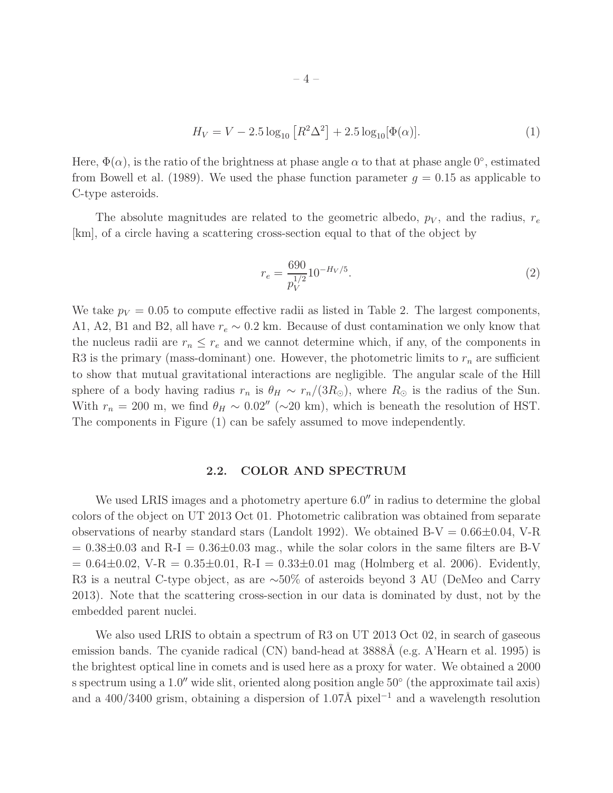$$
H_V = V - 2.5 \log_{10} \left[ R^2 \Delta^2 \right] + 2.5 \log_{10} [\Phi(\alpha)]. \tag{1}
$$

Here,  $\Phi(\alpha)$ , is the ratio of the brightness at phase angle  $\alpha$  to that at phase angle  $0^{\circ}$ , estimated from Bowell et al. (1989). We used the phase function parameter  $g = 0.15$  as applicable to C-type asteroids.

The absolute magnitudes are related to the geometric albedo,  $p_V$ , and the radius,  $r_e$ [km], of a circle having a scattering cross-section equal to that of the object by

$$
r_e = \frac{690}{p_V^{1/2}} 10^{-H_V/5}.
$$
\n(2)

We take  $p_V = 0.05$  to compute effective radii as listed in Table 2. The largest components, A1, A2, B1 and B2, all have  $r_e \sim 0.2$  km. Because of dust contamination we only know that the nucleus radii are  $r_n \leq r_e$  and we cannot determine which, if any, of the components in R3 is the primary (mass-dominant) one. However, the photometric limits to  $r_n$  are sufficient to show that mutual gravitational interactions are negligible. The angular scale of the Hill sphere of a body having radius  $r_n$  is  $\theta_H \sim r_n/(3R_{\odot})$ , where  $R_{\odot}$  is the radius of the Sun. With  $r_n = 200$  m, we find  $\theta_H \sim 0.02''$  (~20 km), which is beneath the resolution of HST. The components in Figure (1) can be safely assumed to move independently.

## 2.2. COLOR AND SPECTRUM

We used LRIS images and a photometry aperture 6.0'' in radius to determine the global colors of the object on UT 2013 Oct 01. Photometric calibration was obtained from separate observations of nearby standard stars (Landolt 1992). We obtained  $B-V = 0.66 \pm 0.04$ , V-R  $= 0.38\pm0.03$  and R-I  $= 0.36\pm0.03$  mag., while the solar colors in the same filters are B-V  $= 0.64 \pm 0.02$ , V-R  $= 0.35 \pm 0.01$ , R-I  $= 0.33 \pm 0.01$  mag (Holmberg et al. 2006). Evidently, R3 is a neutral C-type object, as are ∼50% of asteroids beyond 3 AU (DeMeo and Carry 2013). Note that the scattering cross-section in our data is dominated by dust, not by the embedded parent nuclei.

We also used LRIS to obtain a spectrum of R3 on UT 2013 Oct 02, in search of gaseous emission bands. The cyanide radical (CN) band-head at 3888Å (e.g. A'Hearn et al. 1995) is the brightest optical line in comets and is used here as a proxy for water. We obtained a 2000 s spectrum using a 1.0<sup>"</sup> wide slit, oriented along position angle 50° (the approximate tail axis) and a 400/3400 grism, obtaining a dispersion of 1.07Å pixel<sup>-1</sup> and a wavelength resolution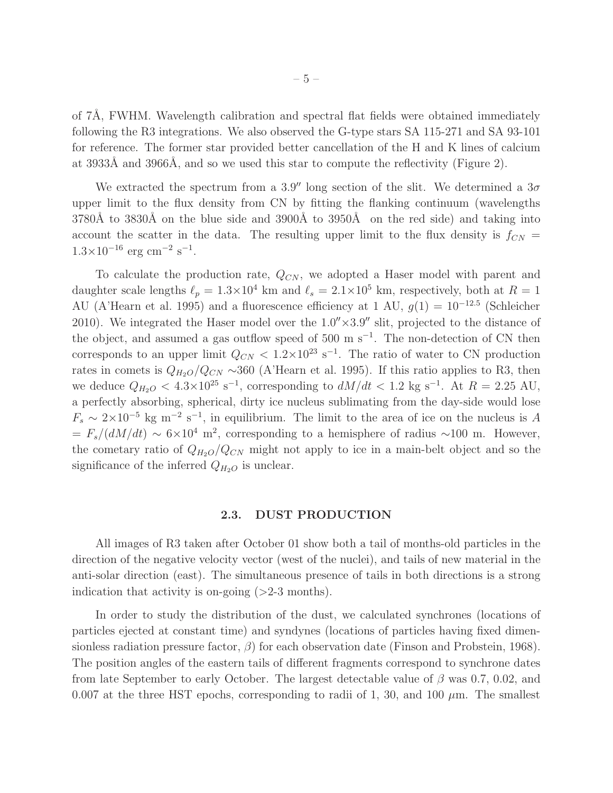of  $7\text{\AA}$ , FWHM. Wavelength calibration and spectral flat fields were obtained immediately following the R3 integrations. We also observed the G-type stars SA 115-271 and SA 93-101 for reference. The former star provided better cancellation of the H and K lines of calcium at 3933Å and 3966Å, and so we used this star to compute the reflectivity (Figure 2).

We extracted the spectrum from a 3.9'' long section of the slit. We determined a  $3\sigma$ upper limit to the flux density from CN by fitting the flanking continuum (wavelengths  $3780\text{\AA}$  to  $3830\text{\AA}$  on the blue side and  $3900\text{\AA}$  to  $3950\text{\AA}$  on the red side) and taking into account the scatter in the data. The resulting upper limit to the flux density is  $f_{CN}$  =  $1.3 \times 10^{-16}$  erg cm<sup>-2</sup> s<sup>-1</sup>.

To calculate the production rate,  $Q_{CN}$ , we adopted a Haser model with parent and daughter scale lengths  $\ell_p = 1.3 \times 10^4$  km and  $\ell_s = 2.1 \times 10^5$  km, respectively, both at  $R = 1$ AU (A'Hearn et al. 1995) and a fluorescence efficiency at 1 AU,  $g(1) = 10^{-12.5}$  (Schleicher 2010). We integrated the Haser model over the  $1.0'' \times 3.9''$  slit, projected to the distance of the object, and assumed a gas outflow speed of 500 m s<sup>-1</sup>. The non-detection of CN then corresponds to an upper limit  $Q_{CN} < 1.2 \times 10^{23} \text{ s}^{-1}$ . The ratio of water to CN production rates in comets is  $Q_{H_2O}/Q_{CN} \sim 360$  (A'Hearn et al. 1995). If this ratio applies to R3, then we deduce  $Q_{H_2O} < 4.3 \times 10^{25} \text{ s}^{-1}$ , corresponding to  $dM/dt < 1.2 \text{ kg s}^{-1}$ . At  $R = 2.25 \text{ AU}$ , a perfectly absorbing, spherical, dirty ice nucleus sublimating from the day-side would lose  $F_s \sim 2 \times 10^{-5}$  kg m<sup>-2</sup> s<sup>-1</sup>, in equilibrium. The limit to the area of ice on the nucleus is A  $= F_s/(dM/dt) \sim 6 \times 10^4$  m<sup>2</sup>, corresponding to a hemisphere of radius ~100 m. However, the cometary ratio of  $Q_{H_2O}/Q_{CN}$  might not apply to ice in a main-belt object and so the significance of the inferred  $Q_{H_2O}$  is unclear.

#### 2.3. DUST PRODUCTION

All images of R3 taken after October 01 show both a tail of months-old particles in the direction of the negative velocity vector (west of the nuclei), and tails of new material in the anti-solar direction (east). The simultaneous presence of tails in both directions is a strong indication that activity is on-going  $(>=2.3 \text{ months}).$ 

In order to study the distribution of the dust, we calculated synchrones (locations of particles ejected at constant time) and syndynes (locations of particles having fixed dimensionless radiation pressure factor,  $\beta$ ) for each observation date (Finson and Probstein, 1968). The position angles of the eastern tails of different fragments correspond to synchrone dates from late September to early October. The largest detectable value of  $\beta$  was 0.7, 0.02, and 0.007 at the three HST epochs, corresponding to radii of 1, 30, and 100  $\mu$ m. The smallest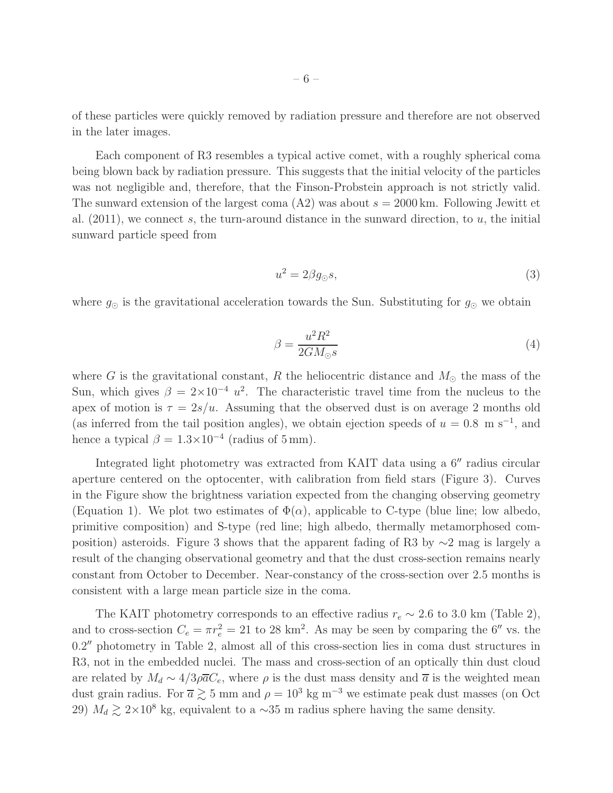of these particles were quickly removed by radiation pressure and therefore are not observed in the later images.

Each component of R3 resembles a typical active comet, with a roughly spherical coma being blown back by radiation pressure. This suggests that the initial velocity of the particles was not negligible and, therefore, that the Finson-Probstein approach is not strictly valid. The sunward extension of the largest coma  $(A2)$  was about  $s = 2000$  km. Following Jewitt et al.  $(2011)$ , we connect s, the turn-around distance in the sunward direction, to u, the initial sunward particle speed from

$$
u^2 = 2\beta g_\odot s,\tag{3}
$$

where  $g_{\odot}$  is the gravitational acceleration towards the Sun. Substituting for  $g_{\odot}$  we obtain

$$
\beta = \frac{u^2 R^2}{2GM_{\odot}s} \tag{4}
$$

where G is the gravitational constant, R the heliocentric distance and  $M_{\odot}$  the mass of the Sun, which gives  $\beta = 2 \times 10^{-4} u^2$ . The characteristic travel time from the nucleus to the apex of motion is  $\tau = 2s/u$ . Assuming that the observed dust is on average 2 months old (as inferred from the tail position angles), we obtain ejection speeds of  $u = 0.8$  m s<sup>-1</sup>, and hence a typical  $\beta = 1.3 \times 10^{-4}$  (radius of 5 mm).

Integrated light photometry was extracted from KAIT data using a 6′′ radius circular aperture centered on the optocenter, with calibration from field stars (Figure 3). Curves in the Figure show the brightness variation expected from the changing observing geometry (Equation 1). We plot two estimates of  $\Phi(\alpha)$ , applicable to C-type (blue line; low albedo, primitive composition) and S-type (red line; high albedo, thermally metamorphosed composition) asteroids. Figure 3 shows that the apparent fading of R3 by  $\sim$ 2 mag is largely a result of the changing observational geometry and that the dust cross-section remains nearly constant from October to December. Near-constancy of the cross-section over 2.5 months is consistent with a large mean particle size in the coma.

The KAIT photometry corresponds to an effective radius  $r_e \sim 2.6$  to 3.0 km (Table 2), and to cross-section  $C_e = \pi r_e^2 = 21$  to 28 km<sup>2</sup>. As may be seen by comparing the 6<sup>*''*</sup> vs. the 0.2′′ photometry in Table 2, almost all of this cross-section lies in coma dust structures in R3, not in the embedded nuclei. The mass and cross-section of an optically thin dust cloud are related by  $M_d \sim 4/3\rho \overline{a}C_e$ , where  $\rho$  is the dust mass density and  $\overline{a}$  is the weighted mean dust grain radius. For  $\overline{a} \gtrsim 5$  mm and  $\rho = 10^3$  kg m<sup>-3</sup> we estimate peak dust masses (on Oct 29)  $M_d \gtrsim 2 \times 10^8$  kg, equivalent to a ~35 m radius sphere having the same density.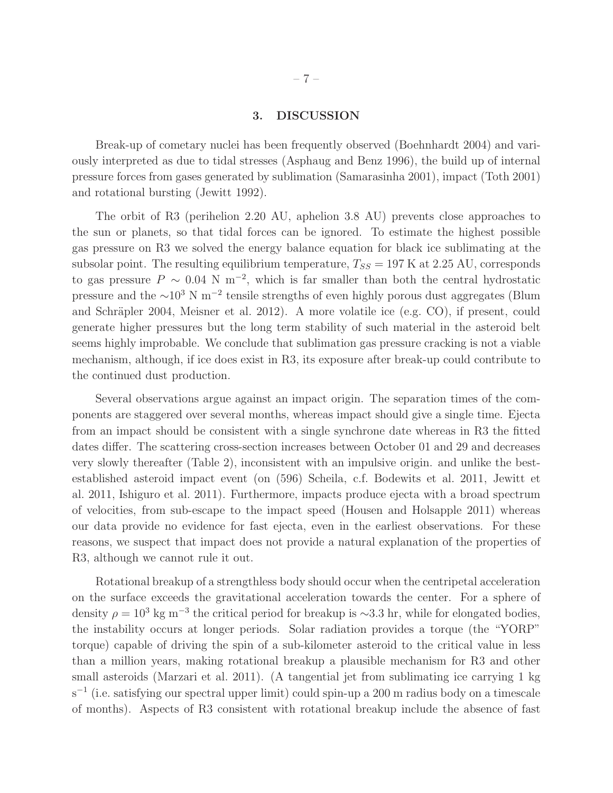## 3. DISCUSSION

Break-up of cometary nuclei has been frequently observed (Boehnhardt 2004) and variously interpreted as due to tidal stresses (Asphaug and Benz 1996), the build up of internal pressure forces from gases generated by sublimation (Samarasinha 2001), impact (Toth 2001) and rotational bursting (Jewitt 1992).

The orbit of R3 (perihelion 2.20 AU, aphelion 3.8 AU) prevents close approaches to the sun or planets, so that tidal forces can be ignored. To estimate the highest possible gas pressure on R3 we solved the energy balance equation for black ice sublimating at the subsolar point. The resulting equilibrium temperature,  $T_{SS} = 197$  K at 2.25 AU, corresponds to gas pressure  $P \sim 0.04 \text{ N m}^{-2}$ , which is far smaller than both the central hydrostatic pressure and the  $\sim 10^3$  N m<sup>-2</sup> tensile strengths of even highly porous dust aggregates (Blum and Schräpler 2004, Meisner et al. 2012). A more volatile ice (e.g. CO), if present, could generate higher pressures but the long term stability of such material in the asteroid belt seems highly improbable. We conclude that sublimation gas pressure cracking is not a viable mechanism, although, if ice does exist in R3, its exposure after break-up could contribute to the continued dust production.

Several observations argue against an impact origin. The separation times of the components are staggered over several months, whereas impact should give a single time. Ejecta from an impact should be consistent with a single synchrone date whereas in R3 the fitted dates differ. The scattering cross-section increases between October 01 and 29 and decreases very slowly thereafter (Table 2), inconsistent with an impulsive origin. and unlike the bestestablished asteroid impact event (on (596) Scheila, c.f. Bodewits et al. 2011, Jewitt et al. 2011, Ishiguro et al. 2011). Furthermore, impacts produce ejecta with a broad spectrum of velocities, from sub-escape to the impact speed (Housen and Holsapple 2011) whereas our data provide no evidence for fast ejecta, even in the earliest observations. For these reasons, we suspect that impact does not provide a natural explanation of the properties of R3, although we cannot rule it out.

Rotational breakup of a strengthless body should occur when the centripetal acceleration on the surface exceeds the gravitational acceleration towards the center. For a sphere of density  $\rho = 10^3$  kg m<sup>-3</sup> the critical period for breakup is ~3.3 hr, while for elongated bodies, the instability occurs at longer periods. Solar radiation provides a torque (the "YORP" torque) capable of driving the spin of a sub-kilometer asteroid to the critical value in less than a million years, making rotational breakup a plausible mechanism for R3 and other small asteroids (Marzari et al. 2011). (A tangential jet from sublimating ice carrying 1 kg s<sup>-1</sup> (i.e. satisfying our spectral upper limit) could spin-up a 200 m radius body on a timescale of months). Aspects of R3 consistent with rotational breakup include the absence of fast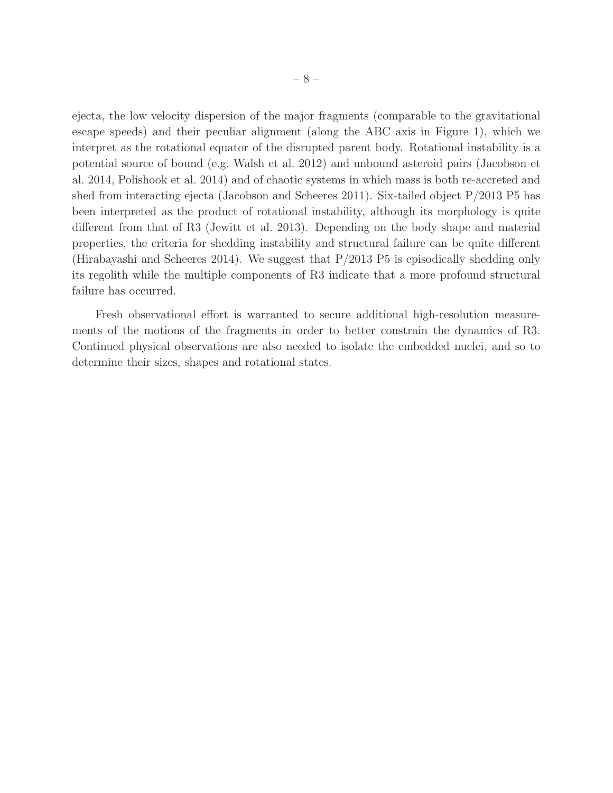ejecta, the low velocity dispersion of the major fragments (comparable to the gravitational escape speeds) and their peculiar alignment (along the ABC axis in Figure 1), which we interpret as the rotational equator of the disrupted parent body. Rotational instability is a potential source of bound (e.g. Walsh et al. 2012) and unbound asteroid pairs (Jacobson et al. 2014, Polishook et al. 2014) and of chaotic systems in which mass is both re-accreted and shed from interacting ejecta (Jacobson and Scheeres 2011). Six-tailed object P/2013 P5 has been interpreted as the product of rotational instability, although its morphology is quite different from that of R3 (Jewitt et al. 2013). Depending on the body shape and material properties, the criteria for shedding instability and structural failure can be quite different (Hirabayashi and Scheeres 2014). We suggest that P/2013 P5 is episodically shedding only its regolith while the multiple components of R3 indicate that a more profound structural failure has occurred.

Fresh observational effort is warranted to secure additional high-resolution measurements of the motions of the fragments in order to better constrain the dynamics of R3. Continued physical observations are also needed to isolate the embedded nuclei, and so to determine their sizes, shapes and rotational states.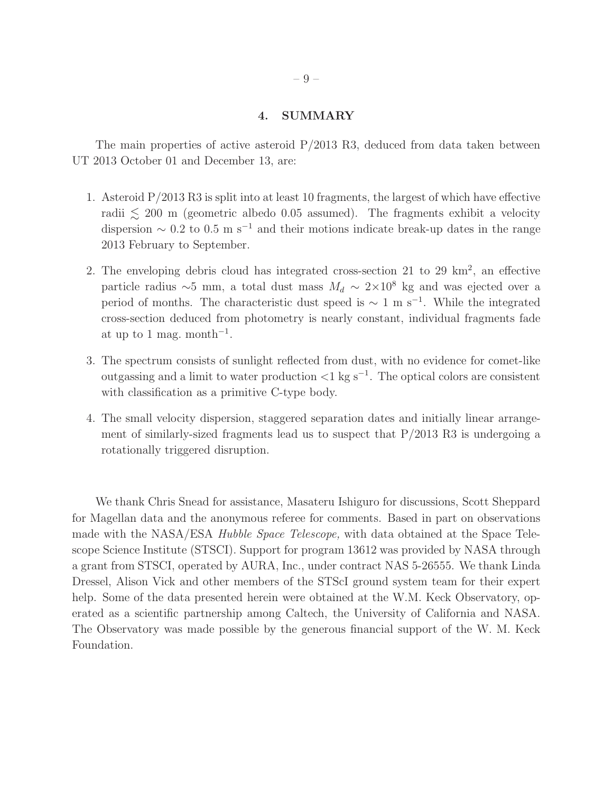#### 4. SUMMARY

The main properties of active asteroid  $P/2013$  R3, deduced from data taken between UT 2013 October 01 and December 13, are:

- 1. Asteroid P/2013 R3 is split into at least 10 fragments, the largest of which have effective radii  $\lesssim 200$  m (geometric albedo 0.05 assumed). The fragments exhibit a velocity dispersion  $\sim 0.2$  to 0.5 m s<sup>-1</sup> and their motions indicate break-up dates in the range 2013 February to September.
- 2. The enveloping debris cloud has integrated cross-section 21 to 29  $\mathrm{km}^2$ , an effective particle radius ∼5 mm, a total dust mass  $M_d \sim 2 \times 10^8$  kg and was ejected over a period of months. The characteristic dust speed is  $\sim 1 \text{ m s}^{-1}$ . While the integrated cross-section deduced from photometry is nearly constant, individual fragments fade at up to 1 mag. month<sup>-1</sup>.
- 3. The spectrum consists of sunlight reflected from dust, with no evidence for comet-like outgassing and a limit to water production <1 kg s<sup>−</sup><sup>1</sup> . The optical colors are consistent with classification as a primitive C-type body.
- 4. The small velocity dispersion, staggered separation dates and initially linear arrangement of similarly-sized fragments lead us to suspect that  $P/2013 R3$  is undergoing a rotationally triggered disruption.

We thank Chris Snead for assistance, Masateru Ishiguro for discussions, Scott Sheppard for Magellan data and the anonymous referee for comments. Based in part on observations made with the NASA/ESA Hubble Space Telescope, with data obtained at the Space Telescope Science Institute (STSCI). Support for program 13612 was provided by NASA through a grant from STSCI, operated by AURA, Inc., under contract NAS 5-26555. We thank Linda Dressel, Alison Vick and other members of the STScI ground system team for their expert help. Some of the data presented herein were obtained at the W.M. Keck Observatory, operated as a scientific partnership among Caltech, the University of California and NASA. The Observatory was made possible by the generous financial support of the W. M. Keck Foundation.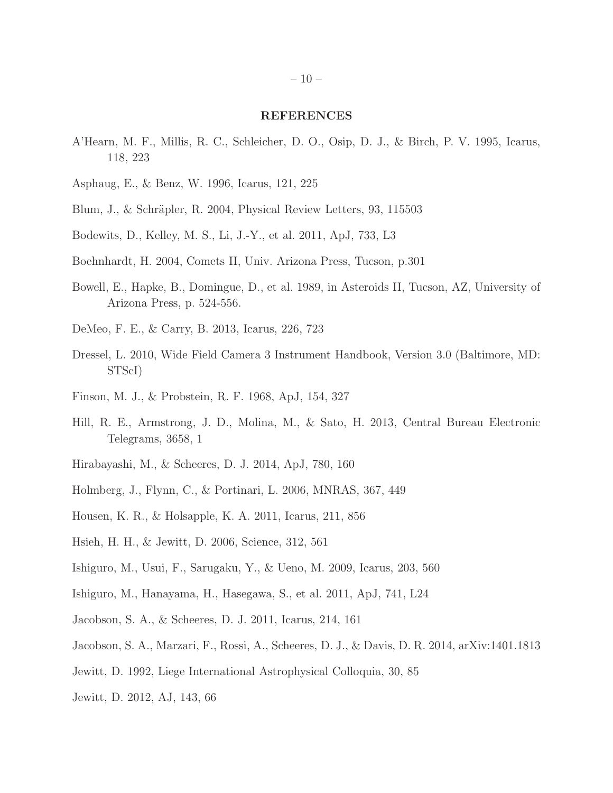#### REFERENCES

- A'Hearn, M. F., Millis, R. C., Schleicher, D. O., Osip, D. J., & Birch, P. V. 1995, Icarus, 118, 223
- Asphaug, E., & Benz, W. 1996, Icarus, 121, 225
- Blum, J., & Schräpler, R. 2004, Physical Review Letters, 93, 115503
- Bodewits, D., Kelley, M. S., Li, J.-Y., et al. 2011, ApJ, 733, L3
- Boehnhardt, H. 2004, Comets II, Univ. Arizona Press, Tucson, p.301
- Bowell, E., Hapke, B., Domingue, D., et al. 1989, in Asteroids II, Tucson, AZ, University of Arizona Press, p. 524-556.
- DeMeo, F. E., & Carry, B. 2013, Icarus, 226, 723
- Dressel, L. 2010, Wide Field Camera 3 Instrument Handbook, Version 3.0 (Baltimore, MD: STScI)
- Finson, M. J., & Probstein, R. F. 1968, ApJ, 154, 327
- Hill, R. E., Armstrong, J. D., Molina, M., & Sato, H. 2013, Central Bureau Electronic Telegrams, 3658, 1
- Hirabayashi, M., & Scheeres, D. J. 2014, ApJ, 780, 160
- Holmberg, J., Flynn, C., & Portinari, L. 2006, MNRAS, 367, 449
- Housen, K. R., & Holsapple, K. A. 2011, Icarus, 211, 856
- Hsieh, H. H., & Jewitt, D. 2006, Science, 312, 561
- Ishiguro, M., Usui, F., Sarugaku, Y., & Ueno, M. 2009, Icarus, 203, 560
- Ishiguro, M., Hanayama, H., Hasegawa, S., et al. 2011, ApJ, 741, L24
- Jacobson, S. A., & Scheeres, D. J. 2011, Icarus, 214, 161
- Jacobson, S. A., Marzari, F., Rossi, A., Scheeres, D. J., & Davis, D. R. 2014, arXiv:1401.1813
- Jewitt, D. 1992, Liege International Astrophysical Colloquia, 30, 85
- Jewitt, D. 2012, AJ, 143, 66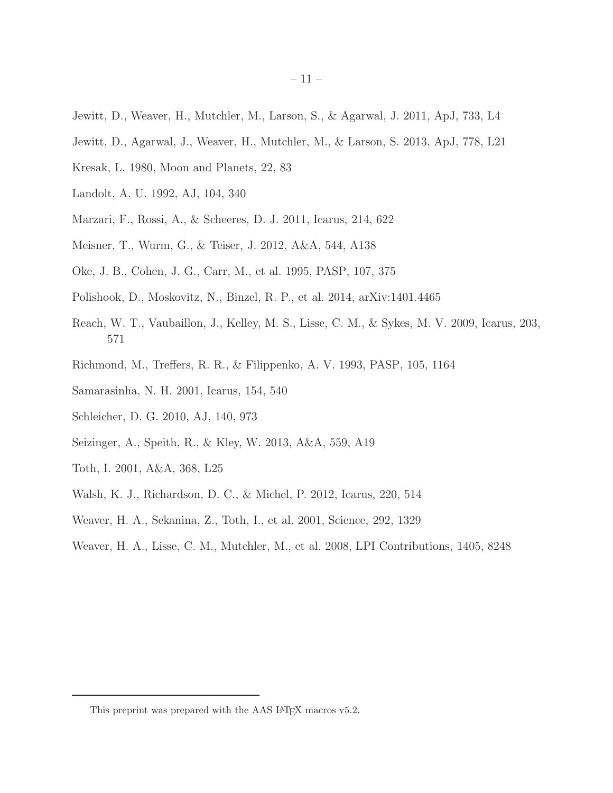- Jewitt, D., Weaver, H., Mutchler, M., Larson, S., & Agarwal, J. 2011, ApJ, 733, L4
- Jewitt, D., Agarwal, J., Weaver, H., Mutchler, M., & Larson, S. 2013, ApJ, 778, L21
- Kresak, L. 1980, Moon and Planets, 22, 83
- Landolt, A. U. 1992, AJ, 104, 340
- Marzari, F., Rossi, A., & Scheeres, D. J. 2011, Icarus, 214, 622
- Meisner, T., Wurm, G., & Teiser, J. 2012, A&A, 544, A138
- Oke, J. B., Cohen, J. G., Carr, M., et al. 1995, PASP, 107, 375
- Polishook, D., Moskovitz, N., Binzel, R. P., et al. 2014, arXiv:1401.4465
- Reach, W. T., Vaubaillon, J., Kelley, M. S., Lisse, C. M., & Sykes, M. V. 2009, Icarus, 203, 571
- Richmond, M., Treffers, R. R., & Filippenko, A. V. 1993, PASP, 105, 1164
- Samarasinha, N. H. 2001, Icarus, 154, 540
- Schleicher, D. G. 2010, AJ, 140, 973
- Seizinger, A., Speith, R., & Kley, W. 2013, A&A, 559, A19
- Toth, I. 2001, A&A, 368, L25
- Walsh, K. J., Richardson, D. C., & Michel, P. 2012, Icarus, 220, 514
- Weaver, H. A., Sekanina, Z., Toth, I., et al. 2001, Science, 292, 1329
- Weaver, H. A., Lisse, C. M., Mutchler, M., et al. 2008, LPI Contributions, 1405, 8248

This preprint was prepared with the AAS IATEX macros v5.2.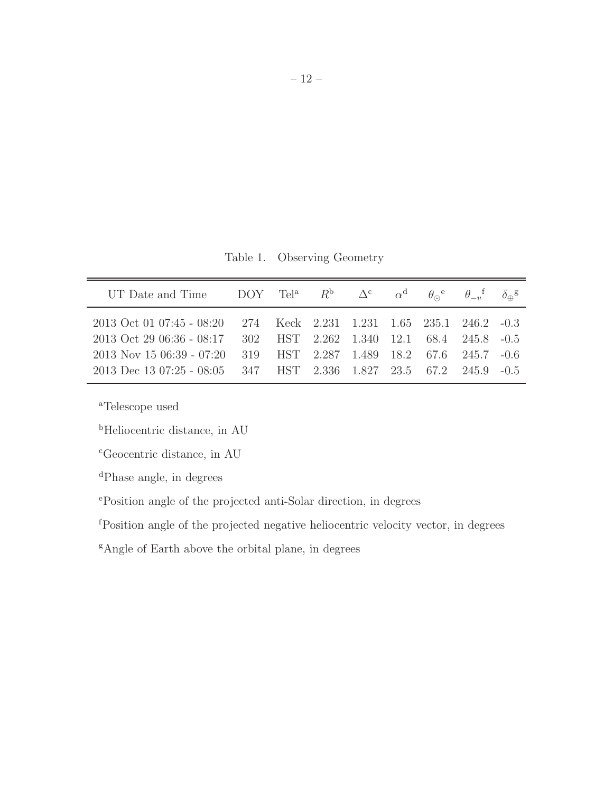Table 1. Observing Geometry

| UT Date and Time DOY Tel <sup>a</sup> $R^{\rm b}$ $\Delta^{\rm c}$ $\alpha^{\rm d}$ $\theta_{\rm o}^{\rm e}$ $\theta_{\rm -n}^{\rm f}$ $\delta_{\rm \mathfrak{m}}^{\rm g}$ |  |                                          |  |  |  |
|----------------------------------------------------------------------------------------------------------------------------------------------------------------------------|--|------------------------------------------|--|--|--|
| 2013 Oct 01 07:45 - 08:20 274 Keck 2.231 1.231 1.65 235.1 246.2 -0.3                                                                                                       |  |                                          |  |  |  |
| 2013 Oct 29 06:36 - 08:17 302 HST 2.262 1.340 12.1 68.4 245.8 -0.5<br>$2013$ Nov 15 06:39 - 07:20                                                                          |  | 319 HST 2.287 1.489 18.2 67.6 245.7 -0.6 |  |  |  |
| 2013 Dec 13 07:25 - 08:05 347 HST 2.336 1.827 23.5 67.2 245.9 -0.5                                                                                                         |  |                                          |  |  |  |

<sup>a</sup>Telescope used

<sup>b</sup>Heliocentric distance, in AU

<sup>c</sup>Geocentric distance, in AU

<sup>d</sup>Phase angle, in degrees

<sup>e</sup>Position angle of the projected anti-Solar direction, in degrees

<sup>f</sup>Position angle of the projected negative heliocentric velocity vector, in degrees

<sup>g</sup>Angle of Earth above the orbital plane, in degrees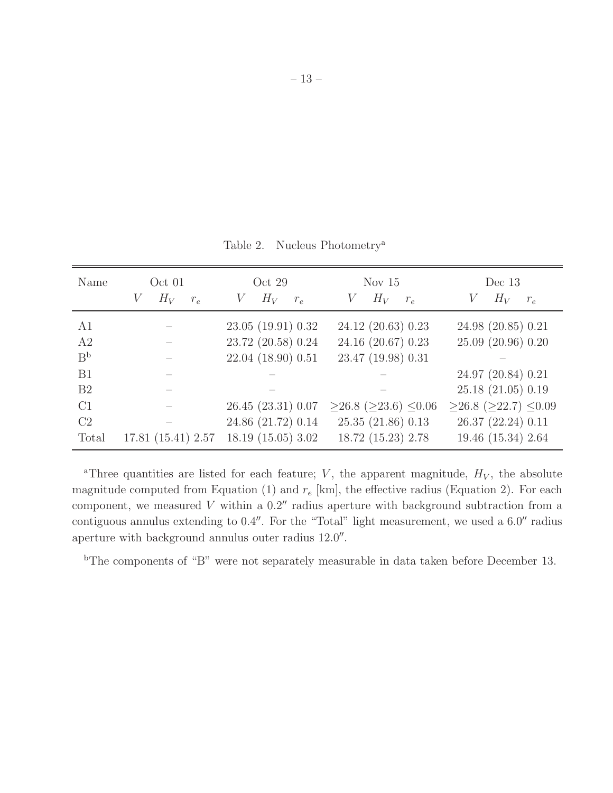| Name           | Oct 01<br>$H_V$<br>V<br>$r_e$ | Oct $29$<br>$H_V$<br>V<br>$r_e$ | Nov $15$<br>$H_V$<br>V<br>$r_e$        | Dec $13$<br>$H_V$<br>V<br>$r_e$        |
|----------------|-------------------------------|---------------------------------|----------------------------------------|----------------------------------------|
| A1             |                               | 23.05 (19.91) 0.32              | 24.12 (20.63) 0.23                     | 24.98 (20.85) 0.21                     |
| A2             |                               | 23.72 (20.58) 0.24              | 24.16 (20.67) 0.23                     | 25.09 (20.96) 0.20                     |
| B <sub>p</sub> |                               | 22.04 (18.90) 0.51              | 23.47 (19.98) 0.31                     |                                        |
| B1             |                               |                                 |                                        | 24.97 (20.84) 0.21                     |
| B <sub>2</sub> |                               |                                 |                                        | 25.18 (21.05) 0.19                     |
| C1             |                               | 26.45(23.31)0.07                | $\geq$ 26.8 ( $\geq$ 23.6) $\leq$ 0.06 | $\geq$ 26.8 ( $\geq$ 22.7) $\leq$ 0.09 |
| C2             |                               | 24.86 (21.72) 0.14              | 25.35(21.86)0.13                       | 26.37 (22.24) 0.11                     |
| Total          | 17.81(15.41)2.57              | 18.19(15.05)3.02                | 18.72 (15.23) 2.78                     | 19.46 (15.34) 2.64                     |

<sup>a</sup>Three quantities are listed for each feature; V, the apparent magnitude,  $H_V$ , the absolute magnitude computed from Equation (1) and  $r_e$  [km], the effective radius (Equation 2). For each component, we measured  $V$  within a  $0.2''$  radius aperture with background subtraction from a contiguous annulus extending to 0.4″. For the "Total" light measurement, we used a  $6.0''$  radius aperture with background annulus outer radius  $12.0''$ .

<sup>b</sup>The components of "B" were not separately measurable in data taken before December 13.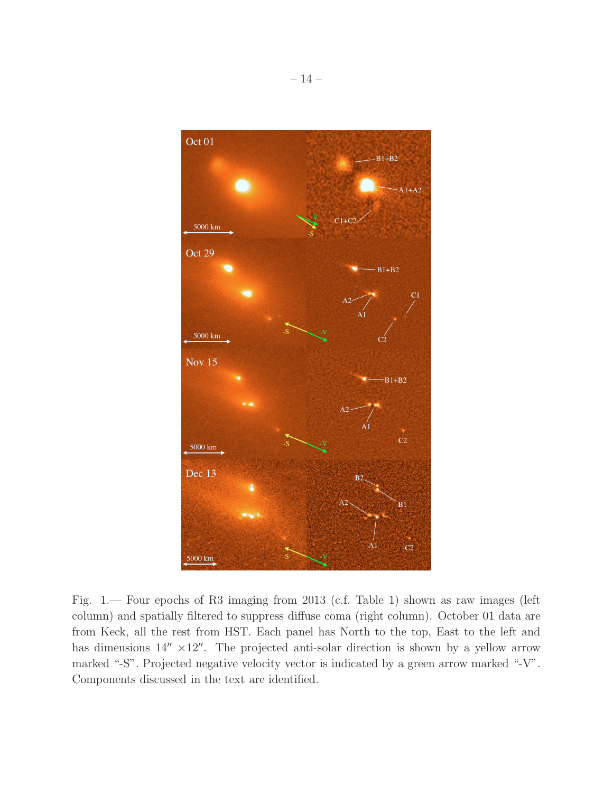

Fig. 1.— Four epochs of R3 imaging from 2013 (c.f. Table 1) shown as raw images (left column) and spatially filtered to suppress diffuse coma (right column). October 01 data are from Keck, all the rest from HST. Each panel has North to the top, East to the left and has dimensions  $14'' \times 12''$ . The projected anti-solar direction is shown by a yellow arrow marked "-S". Projected negative velocity vector is indicated by a green arrow marked "-V". Components discussed in the text are identified.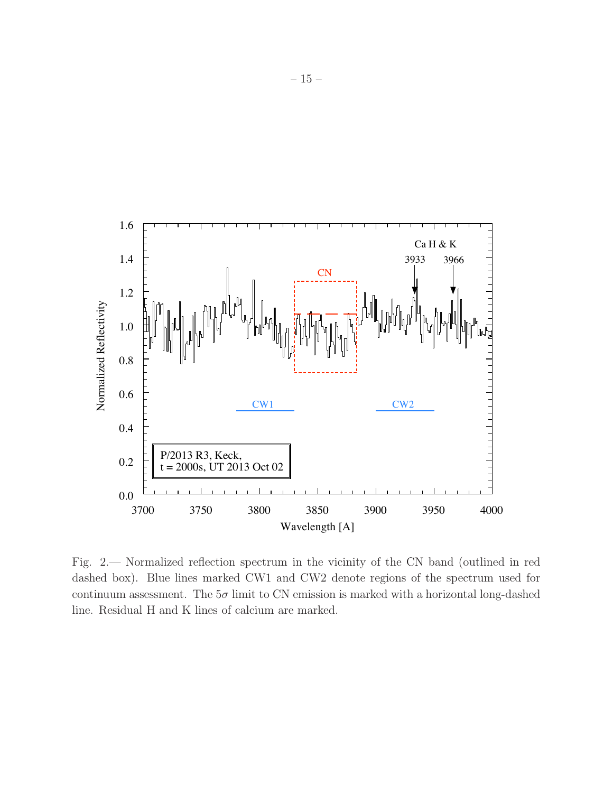

Fig. 2.— Normalized reflection spectrum in the vicinity of the CN band (outlined in red dashed box). Blue lines marked CW1 and CW2 denote regions of the spectrum used for continuum assessment. The  $5\sigma$  limit to CN emission is marked with a horizontal long-dashed line. Residual H and K lines of calcium are marked.